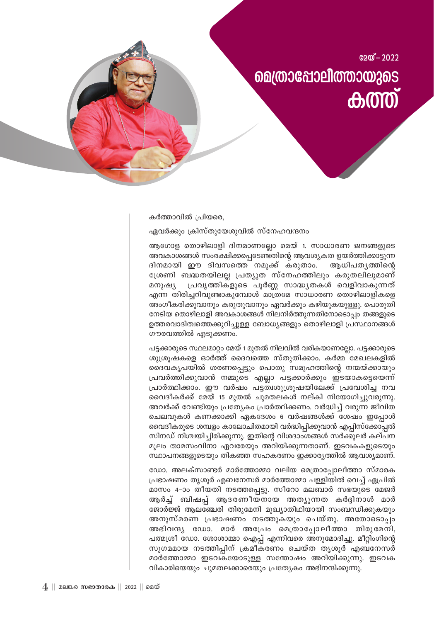

കർത്താവിൽ പ്രിയരെ,

ഏവർക്കും ക്രിസ്തുയേശുവിൽ സ്നേഹവന്ദനം

ആഗോള തൊഴിലാളി ദിനമാണല്ലോ മെയ് 1. സാധാരണ ജനങ്ങളുടെ അവകാശങ്ങൾ സംരക്ഷിക്കപ്പെടേണ്ടതിന്റെ ആവശ്യകത ഉയർത്തിക്കാട്ടുന്ന ദിനമായി ഈ ദിവസത്തെ നമുക്ക് കരുതാം. ആധിപത്യത്തിന്റെ ശ്രേണി ബദ്ധതയിലല്ല പ്രത്യുത സ്നേഹത്തിലും കരുതലിലുമാണ് പ്രവൃത്തികളുടെ പൂർണ്ണ സാദ്ധ്യതകൾ വെളിവാകുന്നത് മനുഷ്യ എന്ന തിരിച്ചറിവുണ്ടാകുമ്പോൾ മാത്രമേ സാധാരണ തൊഴിലാളികളെ അംഗീകരിക്കുവാനും കരുതുവാനും ഏവർക്കും കഴിയുകയുള്ളു. പൊരുതി നേടിയ തൊഴിലാളി അവകാശങ്ങൾ നിലനിർത്തുന്നതിനോടൊപ്പം തങ്ങളുടെ ഉത്തരവാദിത്വത്തെക്കുറിച്ചുള്ള ബോധ്യങ്ങളും തൊഴിലാളി പ്രസ്ഥാനങ്ങൾ ഗൗരവത്തിൽ എടുക്കണം.

പട്ടക്കാരുടെ സ്ഥലമാറ്റം മേയ് 1 മുതൽ നിലവിൽ വരികയാണല്ലോ. പട്ടക്കാരുടെ ശുശ്രൂഷകളെ ഓർത്ത് ദൈവത്തെ സ്തുതിക്കാം. കർമ്മ മേഖലകളിൽ ദൈവകൃപയിൽ ശരണപ്പെട്ടും പൊതു സമൂഹത്തിന്റെ നന്മയ്ക്കായും പ്രവർത്തിക്കുവാൻ നമ്മുടെ എല്ലാ പട്ടക്കാർക്കും ഇടയാകട്ടെയെന്ന് പ്രാർത്ഥിക്കാം. ഈ വർഷം പട്ടത്വശുപ്രൂഷയിലേക്ക് പ്രവേശിച്ച നവ വൈദീകർക്ക് മേയ് 15 മുതൽ ചുമതലകൾ നല്കി നിയോഗിച്ചുവരുന്നു. അവർക്ക് വേണ്ടിയും പ്രത്യേകം പ്രാർത്ഥിക്കണം. വർദ്ധിച്ച് വരുന്ന ജീവിത ചെലവുകൾ കണക്കാക്കി ഏകദേശം 6 വർഷങ്ങൾക്ക് ശേഷം ഇപ്പോൾ വൈദീകരുടെ ശമ്പളം കാലോചിതമായി വർദ്ധിപ്പിക്കുവാൻ എപ്പിസ്ക്കോപ്പൽ സിനഡ് നിശ്ചയിച്ചിരിക്കുന്നു. ഇതിന്റെ വിശദാംശങ്ങൾ സർക്കുലർ കല്പന മുലം താമസംവിനാ ഏവരേയും അറിയിക്കുന്നതാണ്. ഇടവകകളുടെയും സ്ഥാപനങ്ങളുടെയും തികഞ്ഞ സഹകരണം ഇക്കാര്യത്തിൽ ആവശ്യമാണ്.

ഡോ. അലക്സാണ്ടർ മാർത്തോമ്മാ വലിയ മെത്രാപ്പോലീത്താ സ്മാരക പ്രഭാഷണം തൃശൂർ എബനേസർ മാർത്തോമ്മാ പള്ളിയിൽ വെച്ച് ഏപ്രിൽ മാസം 4-ാം തീയതി നടത്തപ്പെട്ടു. സീറോ മലബാർ സഭയുടെ മേജർ ആർച്ച് ബിഷപ്പ് ആദരണീയനായ അത്യുന്നത കർദ്ദിനാൾ മാർ ജോർജ്ജ് ആലഞ്ചേരി തിരുമേനി മുഖ്യാതിഥിയായി സംബന്ധിക്കുകയും അനുസ്മരണ പ്രഭാഷണം നടത്തുകയും ചെയ്തു. അതോടൊപ്പം അഭിവന്ദ്യ ഡോ. മാർ അപ്രേം മെത്രാപ്പോലീത്താ തിരുമേനി, പത്മശ്രീ ഡോ. ശോശാമ്മാ ഐപ്പ് എന്നിവരെ അനുമോദിച്ചു. മീറ്റിംഗിന്റെ സുഗമമായ നടത്തിപ്പിന് ക്രമീകരണം ചെയ്ത തൃശൂർ എബ്നേസർ മാർത്തോമ്മാ ഇടവകയോടുള്ള സന്തോഷം അറിയിക്കുന്നു. ഇടവക വികാരിയെയും ചുമതലക്കാരെയും പ്രത്യേകം അഭിനന്ദിക്കുന്നു.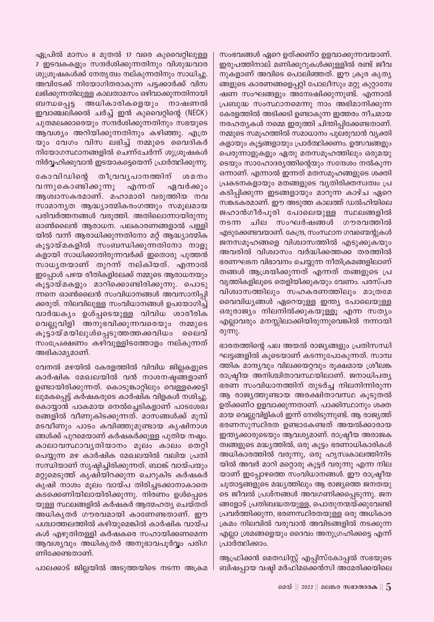സംഭവങ്ങൾ ഏറെ ഉത്ക്കണ്ഠ ഉളവാക്കുന്നവയാണ്. ഇരുപത്തിനാല് മണിക്കൂറുകൾക്കുള്ളിൽ രണ്ട് ജീവ നുകളാണ് അവിടെ പൊലിഞ്ഞത്. ഈ ക്രൂര കൃതൃ ങ്ങളുടെ കാരണങ്ങളെപ്പറ്റി പോലീസും മറ്റു കുറ്റാന്വേ ഷണ സംഘങ്ങളും അന്വേഷിക്കുന്നുണ്ട്. എന്നാൽ പ്രബുദ്ധ സംസ്ഥാനമെന്നു നാം അഭിമാനിക്കുന്ന കേരളത്തിൽ അടിക്കടി ഉണ്ടാകുന്ന ഇത്തരം നീചമായ നരഹത്യകൾ നമ്മെ ഇരുത്തി ചിന്തിപ്പിക്കേണ്ടതാണ്. നമ്മുടെ സമൂഹത്തിൽ സമാധാനം പുലരുവാൻ വ്യക്തി കളായും കൂട്ടങ്ങളായും പ്രാർത്ഥിക്കണം. ഉത്സവങ്ങളും പെരുന്നാളുകളും ഏതു മതസമുഹത്തിലും ഒരുമയു ടെയും സാഹോദര്യത്തിന്റെയും സന്ദേശം നൽകുന്ന ഒന്നാണ്. എന്നാൽ ഇന്നത് മതസമൂഹങ്ങളുടെ ശക്തി പ്രകടനകളായും മതങ്ങളുടെ വൃതിരിക്തസ്വത്വം പ്ര കടിപ്പിക്കുന്ന ഇടങ്ങളായും മാറുന്ന കാഴ്ച ഏറെ സങ്കടകരമാണ്. ഈ അടുത്ത കാലത്ത് ഡൽഹിയിലെ ജഹാൻഗീർപുരി പോലെയുള്ള സ്ഥലങ്ങളിൽ നടന്ന ചില സംഘർഷങ്ങൾ ഗൗരവത്തിൽ എടുക്കേണ്ടവയാണ്. കേന്ദ്ര, സംസ്ഥാന ഗവണ്മെന്റുകൾ ജനസമൂഹങ്ങളെ വിശ്വാസത്തിൽ എടുക്കുകയും അവരിൽ വിശ്വാസം വർദ്ധിക്കത്തക്ക തരത്തിൽ ഭരണഘടന വിഭാവനം ചെയ്യുന്ന നീതിക്രമങ്ങളിലാണ് തങ്ങൾ ആശ്രയിക്കുന്നത് എന്നത് തങ്ങളുടെ പ്ര വൃത്തികളിലുടെ തെളിയിക്കുകയും വേണം. പരസ്പര വിശ്വാസത്തിലും സഹകരണത്തിലും മാത്രമേ വൈവിധ്യങ്ങൾ ഏറെയുള്ള ഇന്ത്യ പോലെയുള്ള ഒരുരാജ്യം നിലനിൽക്കുകയുള്ളൂ എന്ന സത്യം എല്ലാവരും മനസ്സിലാക്കിയിരുന്നുവെങ്കിൽ നന്നായി രുന്നു.

ഭാരതത്തിന്റെ പല അയൽ രാജ്യങ്ങളും പ്രതിസന്ധി ഘട്ടങ്ങളിൽ കൂടെയാണ് കടന്നുപോകുന്നത്. സാമ്പ ത്തിക മാന്ദ്യവും വിലക്കയറ്റവും രൂക്ഷമായ ശ്രീലങ്ക രാഷ്ട്രീയ അനിശ്ചിതാവസ്ഥയിലാണ്. ജനാധിപത്യ ഭരണ സംവിധാനത്തിന് തുടർച്ച നിലനിന്നിരുന്ന ആ രാജ്യത്തുണ്ടായ അരക്ഷിതാവസ്ഥ കൂടുതൽ ഉത്ക്കണ്ഠ ഉളവാക്കുന്നതാണ്. പാക്കിസ്ഥാനും ശക്ത മായ വെല്ലുവിളികൾ ഇന്ന് നേരിടുന്നുണ്ട്. ആ രാജ്യത്ത് ഭരണസുസ്ഥിരത ഉണ്ടാകേണ്ടത് അയൽക്കാരായ ഇന്ത്യക്കാരുടെയും ആവശ്യമാണ്. രാഷ്ട്രീയ അരാജക ത്വങ്ങളുടെ മദ്ധ്യത്തിൽ, ഒരു കൂട്ടം ഭരണാധികാരികൾ അധികാരത്തിൽ വരുന്നു, ഒരു ഹൃസ്വകാലത്തിനിട യിൽ അവർ മാറി മറ്റൊരു കൂട്ടർ വരുന്നു എന്ന നില യാണ് ഇപ്പോഴത്തെ സംവിധാനങ്ങൾ. ഈ രാഷ്ട്രീയ ചൂതാട്ടങ്ങളുടെ മദ്ധ്യത്തിലും ആ രാജ്യത്തെ ജനതയു ടെ ജീവൽ പ്രശ്നങ്ങൾ അവഗണിക്കപ്പെടുന്നു. ജന ങ്ങളോട് പ്രതിബദ്ധതയുള്ള, പൊതുനന്മയ്ക്കുവേണ്ടി പ്രവർത്തിക്കുന്ന, ഭരണസ്ഥിരതയുള്ള ഒരു അധികാര ക്രമം നിലവിൽ വരുവാൻ അവിടങ്ങളിൽ നടക്കുന്ന എല്ലാ ശ്രമങ്ങളെയും ദൈവം അനുഗ്രഹിക്കട്ടെ എന്ന് പ്രാർത്ഥിക്കാം.

ആഫ്രിക്കൻ മെതഡിസ്റ്റ് എപ്പിസ്കോപ്പൽ സഭയുടെ ബിഷപ്പായ വഷ്ഠി മർഫിമക്കെൻസി അമേരിക്കയിലെ

ഏപ്രിൽ മാസം 8 മുതൽ 17 വരെ കുവൈറ്റിലുള്ള 7 ഇടവകകളും സന്ദർശിക്കുന്നതിനും വിശുദ്ധവാര ശുശ്രൂഷകൾക്ക് നേതൃത്വം നല്കുന്നതിനും സാധിച്ചു. അവിടേക്ക് നിയോഗിതരാകുന്ന പട്ടക്കാർക്ക് വിസ ലഭിക്കുന്നതിലുള്ള കാലതാമസം ഒഴിവാക്കുന്നതിനായി അധികാരികളെയും നാഷണൽ ബന്ധപ്പെട്ട ഇവാഞ്ചലിക്കൽ ചർച്ച് ഇൻ കുവൈറ്റിന്റെ (NECK) ചുതമലക്കാരെയും സന്ദർശിക്കുന്നതിനും സഭയുടെ ആവശ്യം അറിയിക്കുന്നതിനും കഴിഞ്ഞു. എത്ര യും വേഗം വിസ ലഭിച്ച് നമ്മുടെ വൈദികർ നിയോഗസ്ഥാനങ്ങളിൽ ചെന്ന്ചേർന്ന് ശുശ്രൂഷകൾ നിർവ്വഹിക്കുവാൻ ഇടയാകട്ടെയെന്ന് പ്രാർത്ഥിക്കുന്നു.

കോവിഡിന്റെ തീവ്രവൃപാനത്തിന് ശമനം വന്നുകൊണ്ടിക്കുന്നു എന്നത് ഏവർക്കും ആശ്വാസകരമാണ്. മഹാമാരി വരുത്തിയ നവ സാമാനൃത ആദ്ധ്യാത്മികരംഗത്തും സമൂലമായ പരിവർത്തനങ്ങൾ വരുത്തി. അതിലൊന്നായിരുന്നു ഓൺലൈൻ ആരാധന. പലകാരണങ്ങളാൽ പള്ളി യിൽ വന്ന് ആരാധിക്കുന്നതിനോ മറ്റ് ആദ്ധ്യാത്മിക കൂട്ടായ്മകളിൽ സംബന്ധിക്കുന്നതിനോ നാളു കളായി സാധിക്കാതിരുന്നവർക്ക് ഇതൊരു പുത്തൻ സാധൃതയാണ് തുറന്ന് നല്കിയത്. എന്നാൽ ഇപ്പോൾ പഴയ രീതികളിലേക്ക് നമ്മുടെ ആരാധനയും കൂട്ടായ്മകളും മാറിക്കൊണ്ടിരിക്കുന്നു. പൊടു ന്നനെ ഓൺലൈൻ സംവിധാനങ്ങൾ അവസാനിപ്പി ക്കരുത്. നിലവിലുള്ള സംവിധാനങ്ങൾ ഉപയോഗിച്ച് വാർദ്ധക്യം ഉൾപ്പടെയുള്ള വിവിധ ശാരീരിക വെല്ലുവിളി അനുഭവിക്കുന്നവരെയും നമ്മുടെ കൂട്ടായ്മയിലുൾപ്പെടുത്തത്തക്കവിധം ലൈവ് സംപ്രേക്ഷണം കഴിവുള്ളിടത്തോളം നല്കുന്നത് അഭികാമൃമാണ്.

വേനൽ മഴയിൽ കേരളത്തിൽ വിവിധ ജില്ലകളുടെ കാർഷിക മേഖലയിൽ വൻ നാശനഷ്ടങ്ങളാണ് ഉണ്ടായിരിക്കുന്നത്. കൊടുങ്കാറ്റിലും വെള്ളക്കെട്ടി ലുമകപ്പെട്ട് കർഷകരുടെ കാർഷിക വിളകൾ നശിച്ചു. കൊയ്യാൻ പാകമായ നെൽച്ചെടികളാണ് പാടശേഖ രങ്ങളിൽ വീണുകിടക്കുന്നത്. മാസങ്ങൾക്ക് മുമ്പ് മടവീണും പാടം കവിഞ്ഞുമുണ്ടായ കൃഷിനാശ ങ്ങൾക്ക് പുറമെയാണ് കർഷകർക്കുള്ള പുതിയ നഷ്ഠം. കാലാവസ്ഥാവൃതിയാനം മൂലം കാലം തെറ്റി പെയ്യുന്ന മഴ കാർഷിക മേഖലയിൽ വലിയ പ്രതി സന്ധിയാണ് സൃഷ്ഠിച്ചിരിക്കുന്നത്. ബാങ്ക് വായ്പയും മറ്റുമെടുത്ത് കൃഷിയിറക്കുന്ന ചെറുകിട കർഷകർ കൃഷി നാശം മൂലം വായ്പ തിരിച്ചടക്കാനാകാതെ കടക്കെണിയിലായിരിക്കുന്നു. നിരണം ഉൾപ്പെടെ യുള്ള സ്ഥലങ്ങളിൽ കർഷകർ ആത്മഹത്യ ചെയ്തത് അധികൃതർ ഗൗരവമായി കാണേണ്ടതാണ്. ഈ പശ്ചാത്തലത്തിൽ കഴിയുമെങ്കിൽ കാർഷിക വായ്പ കൾ എഴുതിതള്ളി കർഷകരെ സഹായിക്കണമെന്ന ആവശ്യവും അധികൃതർ അനുഭാവപൂർവ്വം പരിഗ ണിക്കേണ്ടതാണ്.

പാലക്കാട് ജില്ലയിൽ അടുത്തയിടെ നടന്ന അക്രമ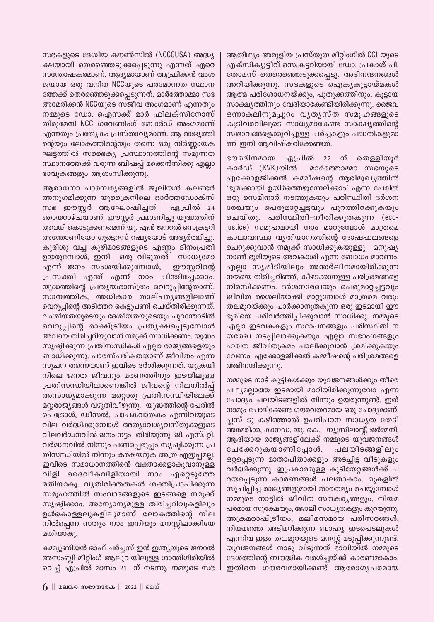സഭകളുടെ ദേശീയ കൗൺസിൽ (NCCCUSA) അദ്ധ്യ ക്ഷയായി തെരഞ്ഞെടുക്കപ്പെടുന്നു എന്നത് ഏറെ സന്തോഷകരമാണ്. ആദ്യമായാണ് ആഫ്രിക്കൻ വംശ ജയായ ഒരു വനിത NCCയുടെ പരമോന്നത സ്ഥാന ത്തേക്ക് തെരഞ്ഞെടുക്കപ്പെടുന്നത്. മാർത്തോമ്മാ സഭ അമേരിക്കൻ NCCയുടെ സജീവ അംഗമാണ് എന്നതും നമ്മുടെ ഡോ. ഐസക്ക് മാർ ഫിലക്സിനോസ് തിരുമേനി NCC ഗവേണിംഗ് ബോർഡ് അംഗമാണ് എന്നതും പ്രത്യേകം പ്രസ്താവ്യമാണ്. ആ രാജ്യത്തി ന്റെയും ലോകത്തിന്റെയും തന്നെ ഒരു നിർണ്ണായക ഘട്ടത്തിൽ സഭൈക്യ പ്രസ്ഥാനത്തിന്റെ സമുന്നത സ്ഥാനത്തേക്ക് വരുന്ന ബിഷപ്പ് മക്കെൻസിക്കു എല്ലാ ഭാവുകങ്ങളും ആശംസിക്കുന്നു.

ആരാധനാ പാരമ്പര്യങ്ങളിൽ ജൂലിയൻ കലണ്ടർ അനുഗമിക്കുന്ന യുക്രൈനിലെ ഓർത്തഡോക്സ് സഭ ഈസ്റ്റർ ആഘോഷിച്ചത് ഏപ്രിൽ 24 ഞായറാഴ്ചയാണ്. ഈസ്റ്റർ പ്രമാണിച്ചു യുദ്ധത്തിന് അവധി കൊടുക്കണമെന്ന് യു. എൻ ജനറൽ സെക്രട്ടറി അന്തോണിയോ ഗുട്ടെറസ് റഷ്യയോട് അഭ്യർത്ഥിച്ചു. കുരിശു വച്ച കുഴിമാടങ്ങളുടെ എണ്ണം ദിനംപ്രതി ഉയരുമ്പോൾ, ഇനി ഒരു വിടുതൽ സാധ്യമോ എന്ന് ജനം സംശയിക്കുമ്പോൾ, ഈസ്റ്ററിന്റെ പ്രസക്തി എന്ത് എന്ന് നാം ചിന്തിച്ചേക്കാം. യുദ്ധത്തിന്റെ പ്രത്യയശാസ്ത്രം വെറുപ്പിന്റേതാണ്. സാമ്പത്തിക, അധികാര താല്പരൃങ്ങളിലാണ് വെറുപ്പിന്റെ അടിത്തറ കെട്ടുപണി ചെയ്തിരിക്കുന്നത്. വംശീയതയുടെയും ദേശീയതയുടെയും പുറന്തോടിൽ വെറുപ്പിന്റെ രാക്ഷ്ട്രീയം പ്രതൃക്ഷപ്പെടുമ്പോൾ അവയെ തിരിച്ചറിയുവാൻ നമുക്ക് സാധിക്കണം. യുദ്ധം സൃഷ്ടിക്കുന്ന പ്രതിസന്ധികൾ എല്ലാ രാജ്യങ്ങളെയും ബാധിക്കുന്നു. പാരസ്പരികതയാണ് ജീവിതം എന്ന സൂചന തന്നെയാണ് ഇവിടെ ദർശിക്കുന്നത്. യുക്രയി നിലെ ജനത ജീവനും മരണത്തിനും ഇടയിലുള്ള പ്രതിസന്ധിയിലാണെങ്കിൽ ജീവന്റെ നിലനിൽപ്പ് അസാധ്യമാക്കുന്ന മറ്റൊരു പ്രതിസന്ധിയിലേക്ക് മറ്റുരാജ്യങ്ങൾ വഴുതിവീഴുന്നു. യുദ്ധത്തിന്റെ പേരിൽ പെട്രോൾ, ഡീസൽ, പാചകവാതകം എന്നിവയുടെ വില വർദ്ധിക്കുമ്പോൾ അത്യാവശ്യവസ്തുക്കളുടെ വിലവർദ്ധനവിൽ ജനം നട്ടം തിരിയുന്നു. ജി. എസ്. റ്റി. വർദ്ധനവിൽ നിന്നും പണപ്പെരുപ്പം സൃഷ്ടിക്കുന്ന പ്ര തിസന്ധിയിൽ നിന്നും കരകയറുക അത്ര എളുപമല്ല. ഇവിടെ സമാധാനത്തിന്റെ വക്താക്കളാകുവാനുള്ള വിളി ദൈവീകവിളിയായി നാം ഏറ്റെടുത്തേ മതിയാകൂ. വ്യതിരിക്തതകൾ ശക്തിപ്രാപിക്കുന്ന സമൂഹത്തിൽ സംവാദങ്ങളുടെ ഇടങ്ങളെ നമുക്ക് സൃഷ്ടിക്കാം. അന്യോന്യമുള്ള തിരിച്ചറിവുകളിലും ഉൾകൊള്ളലുകളിലുമാണ് ലോകത്തിന്റെ നില നിൽപ്പെന്ന സത്യം നാം ഇനിയും മനസ്സിലാക്കിയേ മതിയാകൂ.

കമ്മ്യൂണിയൻ ഓഫ് ചർച്ചസ് ഇൻ ഇന്ത്യയുടെ ജനറൽ അസംബ്ലി മീറ്റിംഗ് ആലുവയിലുള്ള ശാന്തിഗിരിയിൽ വെച്ച് ഏപ്രിൽ മാസം 21 ന് നടന്നു. നമ്മുടെ സഭ ആതിഥ്യം അരുളിയ പ്രസ്തുത മീറ്റിംഗിൽ CCI യുടെ എക്സിക്യൂട്ടീവ് സെക്രട്ടറിയായി ഡോ. പ്രകാശ് പി. തോമസ് തെരെഞ്ഞെടുക്കപ്പെട്ടു. അഭിനന്ദനങ്ങൾ അറിയിക്കുന്നു. സഭകളുടെ ഐക്യകുട്ടായ്മകൾ ആത്മ പരിശോധനയ്ക്കും, പുതുക്കത്തിനും, കൂട്ടായ സാക്ഷ്യത്തിനും വേദിയാകേണ്ടിയിരിക്കുന്നു. ജൈവ ഒന്നാകലിനുമപ്പുറം വൃതൃസ്ത സമൂഹങ്ങളുടെ കൂടിവരവിലൂടെ സാധ്യമാകേണ്ട സാക്ഷ്യത്തിന്റെ സ്വഭാവങ്ങളെക്കുറിച്ചുള്ള ചർച്ചകളും പദ്ധതികളുമാ ണ് ഇനി ആവിഷ്കരിക്കേണ്ടത്.

ഭൗമദിനമായ ഏപ്രിൽ 22 ന് തെള്ളിയുർ കാർഡ് (KVK)യിൽ മാർത്തോമ്മാ സഭയുടെ എക്കോളജിക്കൽ കമ്മീഷന്റെ ആഭിമുഖ്യത്തിൽ 'ഭൂമിക്കായി ഉയിർത്തെഴുന്നേല്ക്കാം' എന്ന പേരിൽ ഒരു സെമിനാർ നടത്തുകയും പരിസ്ഥിതി ദർശന രേഖയും പെരുമാറ്റച്ചട്ടവും പുറത്തിറക്കുകയും ചെയ്തു. പരിസ്ഥിതി-നീതിക്കുതകുന്ന (ecojustice) സമൂഹമായി നാം മാറുമ്പോൾ മാത്രമെ കാലാവസ്ഥാ വ്യതിയാനത്തിന്റെ ദോഷഫലങ്ങളെ ചെറുക്കുവാൻ നമുക്ക് സാധിക്കുകയുള്ളു. മനുഷ്യ നാണ് ഭൂമിയുടെ അവകാശി എന്ന ബോധം മാറണം. എല്ലാ സൃഷ്ടിയിലും അന്തർലീനമായിരിക്കുന്ന നന്മയെ തിരിച്ചറിഞ്ഞ്, കീഴടക്കാനുള്ള പരിശ്രമങ്ങളെ നിരസിക്കണം. ദർശനരേഖയും പെരുമാറ്റച്ചട്ടവും ജീവിത ശൈലിയാക്കി മാറ്റുമ്പോൾ മാത്രമെ വരും തലമുറയ്ക്കും പാർക്കാനുതകുന്ന ഒരു ഇടമായി ഈ ഭൂമിയെ പരിവർത്തിപ്പിക്കുവാൻ സാധിക്കു. നമ്മുടെ എല്ലാ ഇടവകകളും സ്ഥാപനങ്ങളും പരിസ്ഥിതി ന യരേഖ നടപ്പിലാക്കുകയും എല്ലാ സഭാംഗങ്ങളും ഹരിത ജീവിതക്രമം പാലിക്കുവാൻ ശ്രമിക്കുകയും വേണം. എക്കോളജിക്കൽ കമ്മീഷന്റെ പരിശ്രമങ്ങളെ അഭിനന്ദിക്കുന്നു.

നമ്മുടെ നാട് കുട്ടികൾക്കും യുവജനങ്ങൾക്കും തീരെ പഥ്യമല്ലാത്ത ഇടമായി മാറിയിരിക്കുന്നുവോ എന്ന ചോദ്യം പലയിടങ്ങളിൽ നിന്നും ഉയരുന്നുണ്ട്. ഇത് നാമും ചോദിക്കേണ്ട ഗൗരവതരമായ ഒരു ചോദ്യമാണ്. പ്ലസ് ടു കഴിഞ്ഞാൽ ഉപരിപഠന സാധ്യത തേടി അമേരിക്ക, കാനഡ, യു. കെ., ന്യൂസിലാന്റ്, ജർമ്മനി, ആദിയായ രാജ്യങ്ങളിലേക്ക് നമ്മുടെ യുവജനങ്ങൾ ചേക്കേറുകയാണിപ്പോൾ. പലയിടങ്ങളിലും ഒറ്റപ്പെടുന്ന മാതാപിതാക്കളും അടച്ചിട്ട വീടുകളും വർദ്ധിക്കുന്നു. ഇപ്രകാരമുള്ള കുടിയേറ്റങ്ങൾക്ക് പ റയപ്പെടുന്ന കാരണങ്ങൾ പലതാകാം. മുകളിൽ സൂചിപ്പിച്ച രാജ്യങ്ങളുമായി താരതമ്യം ചെയ്യുമ്പോൾ നമ്മുടെ നാട്ടിൽ ജീവിത സൗകര്യങ്ങളും, നിയമ പരമായ സുരക്ഷയും, ജോലി സാധ്യതകളും കുറയുന്നു. അക്രമരാഷ്ട്രീയം, മലീമസമായ പരിസരങ്ങൾ, നിയമത്തെ അട്ടിമറിക്കുന്ന ബാഹ്യ ഇടപെടലുകൾ എന്നിവ ഇളം തലമുറയുടെ മനസ്സ് മടുപ്പിക്കുന്നുണ്ട്. യുവജനങ്ങൾ നാടു വിടുന്നത് ഭാവിയിൽ നമ്മുടെ ദേശത്തിന്റെ ബൗദ്ധിക വരൾച്ചയ്ക്ക് കാരണമാകാം. ഇതിനെ ഗൗരവമായിക്കണ്ട് ആരോഗൃപരമായ